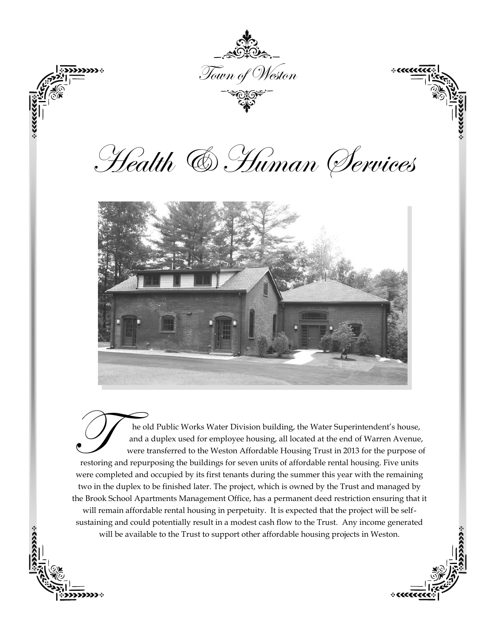

The old Public Works Water Division building, the Water Superintendent's house,<br>and a duplex used for employee housing, all located at the end of Warren Avenue<br>were transferred to the Weston Affordable Housing Trust in 201 he old Public Works Water Division building, the Water Superintendent's house, and a duplex used for employee housing, all located at the end of Warren Avenue, were transferred to the Weston Affordable Housing Trust in 2013 for the purpose of were completed and occupied by its first tenants during the summer this year with the remaining two in the duplex to be finished later. The project, which is owned by the Trust and managed by the Brook School Apartments Management Office, has a permanent deed restriction ensuring that it will remain affordable rental housing in perpetuity. It is expected that the project will be selfsustaining and could potentially result in a modest cash flow to the Trust. Any income generated will be available to the Trust to support other affordable housing projects in Weston.

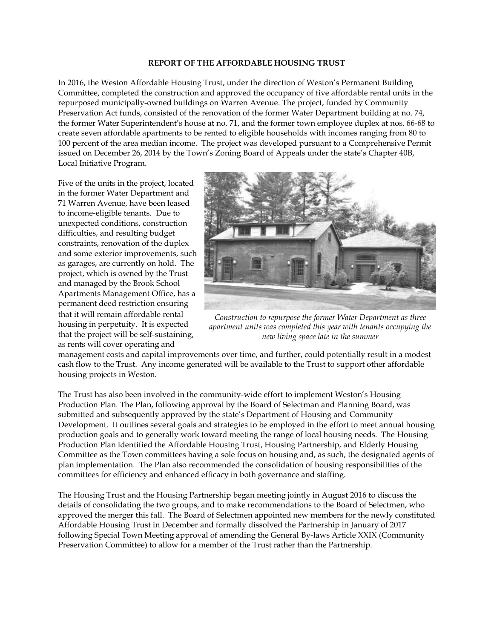#### **REPORT OF THE AFFORDABLE HOUSING TRUST**

In 2016, the Weston Affordable Housing Trust, under the direction of Weston's Permanent Building Committee, completed the construction and approved the occupancy of five affordable rental units in the repurposed municipally-owned buildings on Warren Avenue. The project, funded by Community Preservation Act funds, consisted of the renovation of the former Water Department building at no. 74, the former Water Superintendent's house at no. 71, and the former town employee duplex at nos. 66-68 to create seven affordable apartments to be rented to eligible households with incomes ranging from 80 to 100 percent of the area median income. The project was developed pursuant to a Comprehensive Permit issued on December 26, 2014 by the Town's Zoning Board of Appeals under the state's Chapter 40B, Local Initiative Program.

Five of the units in the project, located in the former Water Department and 71 Warren Avenue, have been leased to income-eligible tenants. Due to unexpected conditions, construction difficulties, and resulting budget constraints, renovation of the duplex and some exterior improvements, such as garages, are currently on hold. The project, which is owned by the Trust and managed by the Brook School Apartments Management Office, has a permanent deed restriction ensuring that it will remain affordable rental housing in perpetuity. It is expected that the project will be self-sustaining, as rents will cover operating and



*Construction to repurpose the former Water Department as three apartment units was completed this year with tenants occupying the new living space late in the summer*

management costs and capital improvements over time, and further, could potentially result in a modest cash flow to the Trust. Any income generated will be available to the Trust to support other affordable housing projects in Weston.

The Trust has also been involved in the community-wide effort to implement Weston's Housing Production Plan. The Plan, following approval by the Board of Selectman and Planning Board, was submitted and subsequently approved by the state's Department of Housing and Community Development. It outlines several goals and strategies to be employed in the effort to meet annual housing production goals and to generally work toward meeting the range of local housing needs. The Housing Production Plan identified the Affordable Housing Trust, Housing Partnership, and Elderly Housing Committee as the Town committees having a sole focus on housing and, as such, the designated agents of plan implementation. The Plan also recommended the consolidation of housing responsibilities of the committees for efficiency and enhanced efficacy in both governance and staffing.

The Housing Trust and the Housing Partnership began meeting jointly in August 2016 to discuss the details of consolidating the two groups, and to make recommendations to the Board of Selectmen, who approved the merger this fall. The Board of Selectmen appointed new members for the newly constituted Affordable Housing Trust in December and formally dissolved the Partnership in January of 2017 following Special Town Meeting approval of amending the General By-laws Article XXIX (Community Preservation Committee) to allow for a member of the Trust rather than the Partnership.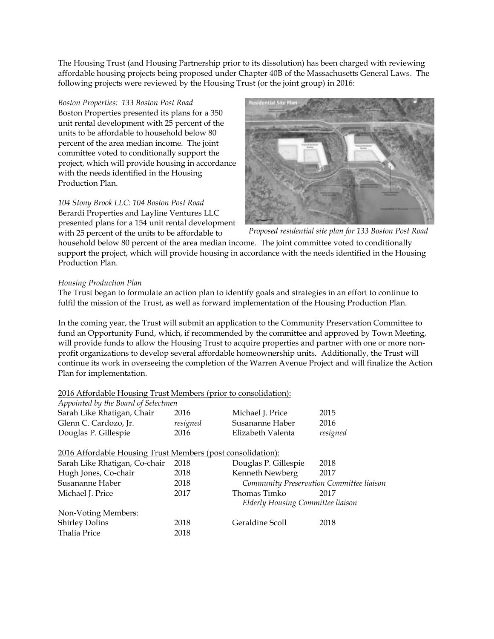The Housing Trust (and Housing Partnership prior to its dissolution) has been charged with reviewing affordable housing projects being proposed under Chapter 40B of the Massachusetts General Laws. The following projects were reviewed by the Housing Trust (or the joint group) in 2016:

# *Boston Properties: 133 Boston Post Road*

Boston Properties presented its plans for a 350 unit rental development with 25 percent of the units to be affordable to household below 80 percent of the area median income. The joint committee voted to conditionally support the project, which will provide housing in accordance with the needs identified in the Housing Production Plan.

*104 Stony Brook LLC: 104 Boston Post Road* Berardi Properties and Layline Ventures LLC presented plans for a 154 unit rental development with 25 percent of the units to be affordable to



*Proposed residential site plan for 133 Boston Post Road*

household below 80 percent of the area median income. The joint committee voted to conditionally support the project, which will provide housing in accordance with the needs identified in the Housing Production Plan.

# *Housing Production Plan*

The Trust began to formulate an action plan to identify goals and strategies in an effort to continue to fulfil the mission of the Trust, as well as forward implementation of the Housing Production Plan.

In the coming year, the Trust will submit an application to the Community Preservation Committee to fund an Opportunity Fund, which, if recommended by the committee and approved by Town Meeting, will provide funds to allow the Housing Trust to acquire properties and partner with one or more nonprofit organizations to develop several affordable homeownership units. Additionally, the Trust will continue its work in overseeing the completion of the Warren Avenue Project and will finalize the Action Plan for implementation.

# 2016 Affordable Housing Trust Members (prior to consolidation): *Appointed by the Board of Selectmen* Sarah Like Rhatigan, Chair 2016 Michael J. Price 2015 Glenn C. Cardozo, Jr. *resigned* Susananne Haber 2016 Douglas P. Gillespie 2016 Elizabeth Valenta *resigned*  2016 Affordable Housing Trust Members (post consolidation): Sarah Like Rhatigan, Co-chair 2018 Douglas P. Gillespie 2018 Hugh Jones, Co-chair 2018 Kenneth Newberg 2017 Susananne Haber 2018 *Community Preservation Committee liaison* Michael J. Price 2017 Thomas Timko 2017 *Elderly Housing Committee liaison* Non-Voting Members: Shirley Dolins 2018 Geraldine Scoll 2018 Thalia Price 2018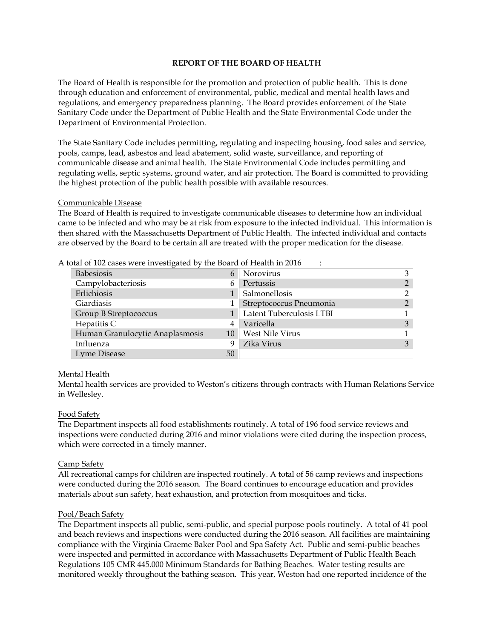### **REPORT OF THE BOARD OF HEALTH**

The Board of Health is responsible for the promotion and protection of public health. This is done through education and enforcement of environmental, public, medical and mental health laws and regulations, and emergency preparedness planning. The Board provides enforcement of the State Sanitary Code under the Department of Public Health and the State Environmental Code under the Department of Environmental Protection.

The State Sanitary Code includes permitting, regulating and inspecting housing, food sales and service, pools, camps, lead, asbestos and lead abatement, solid waste, surveillance, and reporting of communicable disease and animal health. The State Environmental Code includes permitting and regulating wells, septic systems, ground water, and air protection. The Board is committed to providing the highest protection of the public health possible with available resources.

#### Communicable Disease

The Board of Health is required to investigate communicable diseases to determine how an individual came to be infected and who may be at risk from exposure to the infected individual. This information is then shared with the Massachusetts Department of Public Health. The infected individual and contacts are observed by the Board to be certain all are treated with the proper medication for the disease.

| <b>Babesiosis</b>               | 6  | Norovirus                |   |
|---------------------------------|----|--------------------------|---|
| Campylobacteriosis              | 6  | Pertussis                | ◠ |
| Erlichiosis                     |    | Salmonellosis            |   |
| <b>Giardiasis</b>               |    | Streptococcus Pneumonia  | ◠ |
| Group B Streptococcus           |    | Latent Tuberculosis LTBI |   |
| Hepatitis C                     |    | Varicella                | 3 |
| Human Granulocytic Anaplasmosis | 10 | West Nile Virus          |   |
| Influenza                       | q  | Zika Virus               | 3 |
| Lyme Disease                    | 50 |                          |   |

A total of 102 cases were investigated by the Board of Health in 2016 :

#### Mental Health

Mental health services are provided to Weston's citizens through contracts with Human Relations Service in Wellesley.

#### Food Safety

The Department inspects all food establishments routinely. A total of 196 food service reviews and inspections were conducted during 2016 and minor violations were cited during the inspection process, which were corrected in a timely manner.

#### Camp Safety

All recreational camps for children are inspected routinely. A total of 56 camp reviews and inspections were conducted during the 2016 season. The Board continues to encourage education and provides materials about sun safety, heat exhaustion, and protection from mosquitoes and ticks.

#### Pool/Beach Safety

The Department inspects all public, semi-public, and special purpose pools routinely. A total of 41 pool and beach reviews and inspections were conducted during the 2016 season. All facilities are maintaining compliance with the Virginia Graeme Baker Pool and Spa Safety Act. Public and semi-public beaches were inspected and permitted in accordance with Massachusetts Department of Public Health Beach Regulations 105 CMR 445.000 Minimum Standards for Bathing Beaches. Water testing results are monitored weekly throughout the bathing season. This year, Weston had one reported incidence of the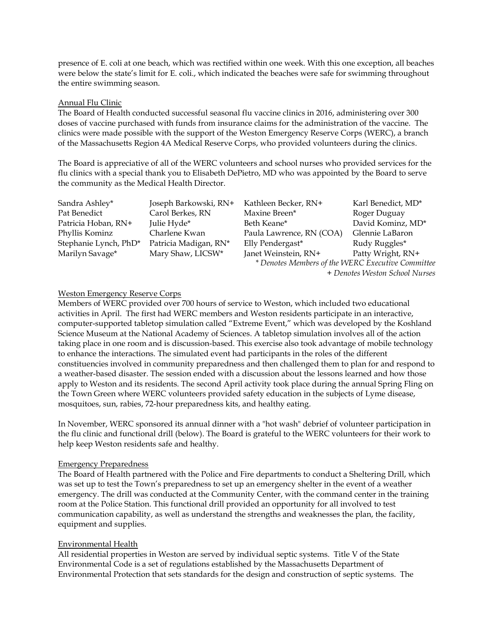presence of E. coli at one beach, which was rectified within one week. With this one exception, all beaches were below the state's limit for E. coli., which indicated the beaches were safe for swimming throughout the entire swimming season.

#### Annual Flu Clinic

The Board of Health conducted successful seasonal flu vaccine clinics in 2016, administering over 300 doses of vaccine purchased with funds from insurance claims for the administration of the vaccine. The clinics were made possible with the support of the Weston Emergency Reserve Corps (WERC), a branch of the Massachusetts Region 4A Medical Reserve Corps, who provided volunteers during the clinics.

The Board is appreciative of all of the WERC volunteers and school nurses who provided services for the flu clinics with a special thank you to Elisabeth DePietro, MD who was appointed by the Board to serve the community as the Medical Health Director.

| Sandra Ashley*        | Joseph Barkowski, RN+ | Kathleen Becker, RN+                              | Karl Benedict, MD*             |
|-----------------------|-----------------------|---------------------------------------------------|--------------------------------|
| Pat Benedict          | Carol Berkes, RN      | Maxine Breen*                                     | Roger Duguay                   |
| Patricia Hoban, RN+   | Julie Hyde*           | Beth Keane*                                       | David Kominz, MD*              |
| Phyllis Kominz        | Charlene Kwan         | Paula Lawrence, RN (COA)                          | Glennie LaBaron                |
| Stephanie Lynch, PhD* | Patricia Madigan, RN* | Elly Pendergast*                                  | Rudy Ruggles*                  |
| Marilyn Savage*       | Mary Shaw, LICSW*     | Janet Weinstein, RN+                              | Patty Wright, RN+              |
|                       |                       | * Denotes Members of the WERC Executive Committee |                                |
|                       |                       |                                                   | + Denotes Weston School Nurses |

### Weston Emergency Reserve Corps

Members of WERC provided over 700 hours of service to Weston, which included two educational activities in April. The first had WERC members and Weston residents participate in an interactive, computer-supported tabletop simulation called "Extreme Event," which was developed by the Koshland Science Museum at the National Academy of Sciences. A tabletop simulation involves all of the action taking place in one room and is discussion-based. This exercise also took advantage of mobile technology to enhance the interactions. The simulated event had participants in the roles of the different constituencies involved in community preparedness and then challenged them to plan for and respond to a weather-based disaster. The session ended with a discussion about the lessons learned and how those apply to Weston and its residents. The second April activity took place during the annual Spring Fling on the Town Green where WERC volunteers provided safety education in the subjects of Lyme disease, mosquitoes, sun, rabies, 72-hour preparedness kits, and healthy eating.

In November, WERC sponsored its annual dinner with a "hot wash" debrief of volunteer participation in the flu clinic and functional drill (below). The Board is grateful to the WERC volunteers for their work to help keep Weston residents safe and healthy.

### Emergency Preparedness

The Board of Health partnered with the Police and Fire departments to conduct a Sheltering Drill, which was set up to test the Town's preparedness to set up an emergency shelter in the event of a weather emergency. The drill was conducted at the Community Center, with the command center in the training room at the Police Station. This functional drill provided an opportunity for all involved to test communication capability, as well as understand the strengths and weaknesses the plan, the facility, equipment and supplies.

### Environmental Health

All residential properties in Weston are served by individual septic systems. Title V of the State Environmental Code is a set of regulations established by the Massachusetts Department of Environmental Protection that sets standards for the design and construction of septic systems. The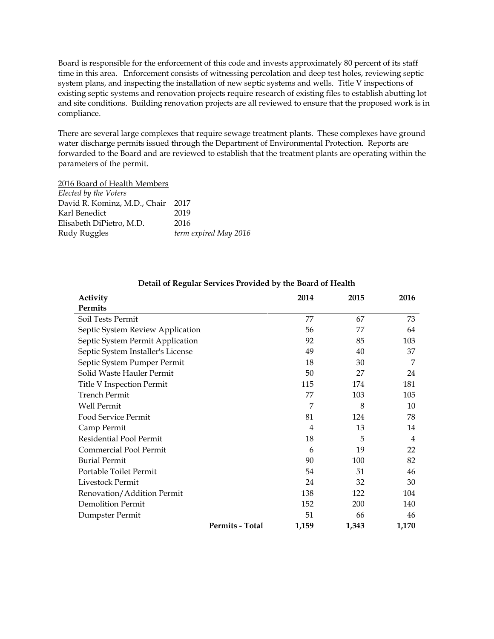Board is responsible for the enforcement of this code and invests approximately 80 percent of its staff time in this area. Enforcement consists of witnessing percolation and deep test holes, reviewing septic system plans, and inspecting the installation of new septic systems and wells. Title V inspections of existing septic systems and renovation projects require research of existing files to establish abutting lot and site conditions. Building renovation projects are all reviewed to ensure that the proposed work is in compliance.

There are several large complexes that require sewage treatment plants. These complexes have ground water discharge permits issued through the Department of Environmental Protection. Reports are forwarded to the Board and are reviewed to establish that the treatment plants are operating within the parameters of the permit.

2016 Board of Health Members

| Elected by the Voters        |                       |
|------------------------------|-----------------------|
| David R. Kominz, M.D., Chair | 2017                  |
| Karl Benedict                | 2019                  |
| Elisabeth DiPietro, M.D.     | 2016                  |
| Rudy Ruggles                 | term expired May 2016 |

| Activity                          |                 | 2014  | 2015  | 2016           |
|-----------------------------------|-----------------|-------|-------|----------------|
| Permits                           |                 |       |       |                |
| Soil Tests Permit                 |                 | 77    | 67    | 73             |
| Septic System Review Application  |                 | 56    | 77    | 64             |
| Septic System Permit Application  |                 | 92    | 85    | 103            |
| Septic System Installer's License |                 | 49    | 40    | 37             |
| Septic System Pumper Permit       |                 | 18    | 30    | 7              |
| Solid Waste Hauler Permit         |                 | 50    | 27    | 24             |
| Title V Inspection Permit         |                 | 115   | 174   | 181            |
| <b>Trench Permit</b>              |                 | 77    | 103   | 105            |
| <b>Well Permit</b>                |                 | 7     | 8     | 10             |
| Food Service Permit               |                 | 81    | 124   | 78             |
| Camp Permit                       |                 | 4     | 13    | 14             |
| Residential Pool Permit           |                 | 18    | 5     | $\overline{4}$ |
| Commercial Pool Permit            |                 | 6     | 19    | 22             |
| <b>Burial Permit</b>              |                 | 90    | 100   | 82             |
| Portable Toilet Permit            |                 | 54    | 51    | 46             |
| Livestock Permit                  |                 | 24    | 32    | 30             |
| Renovation/Addition Permit        |                 | 138   | 122   | 104            |
| <b>Demolition Permit</b>          |                 | 152   | 200   | 140            |
| Dumpster Permit                   |                 | 51    | 66    | 46             |
|                                   | Permits - Total | 1,159 | 1,343 | 1,170          |

# **Detail of Regular Services Provided by the Board of Health**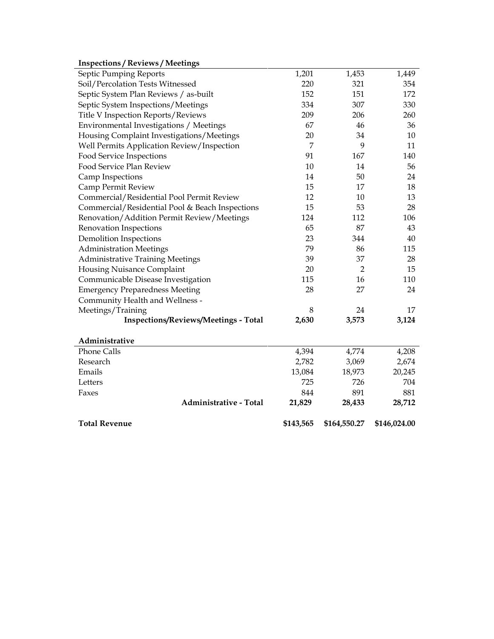| Faxes<br>Administrative - Total                 | 844<br>21,829  | 891<br>28,433  | 881<br>28,712 |
|-------------------------------------------------|----------------|----------------|---------------|
| Letters                                         | 725            | 726            | 704           |
| Emails                                          | 13,084         | 18,973         | 20,245        |
| Research                                        | 2,782          | 3,069          | 2,674         |
| <b>Phone Calls</b>                              | 4,394          | 4,774          | 4,208         |
| Administrative                                  |                |                |               |
| <b>Inspections/Reviews/Meetings - Total</b>     | 2,630          | 3,573          | 3,124         |
| Meetings/Training                               | 8              | 24             | 17            |
| Community Health and Wellness -                 |                |                |               |
| <b>Emergency Preparedness Meeting</b>           | 28             | 27             | 24            |
| Communicable Disease Investigation              | 115            | 16             | 110           |
| Housing Nuisance Complaint                      | 20             | $\overline{2}$ | 15            |
| <b>Administrative Training Meetings</b>         | 39             | 37             | 28            |
| <b>Administration Meetings</b>                  | 79             | 86             | 115           |
| <b>Demolition Inspections</b>                   | 23             | 344            | 40            |
| Renovation Inspections                          | 65             | 87             | 43            |
| Renovation/Addition Permit Review/Meetings      | 124            | 112            | 106           |
| Commercial/Residential Pool & Beach Inspections | 15             | 53             | 28            |
| Commercial/Residential Pool Permit Review       | 12             | 10             | 13            |
| Camp Permit Review                              | 15             | 17             | 18            |
| Camp Inspections                                | 14             | 50             | 24            |
| Food Service Plan Review                        | 10             | 14             | 56            |
| Food Service Inspections                        | 91             | 167            | 140           |
| Well Permits Application Review/Inspection      | $\overline{7}$ | 9              | 11            |
| Housing Complaint Investigations/Meetings       | 20             | 34             | 10            |
| Environmental Investigations / Meetings         | 67             | 46             | 36            |
| Title V Inspection Reports/Reviews              | 209            | 206            | 260           |
| Septic System Inspections/Meetings              | 334            | 307            | 330           |
| Septic System Plan Reviews / as-built           | 152            | 151            | 172           |
| Soil/Percolation Tests Witnessed                | 220            | 321            | 354           |
| Septic Pumping Reports                          | 1,201          | 1,453          | 1,449         |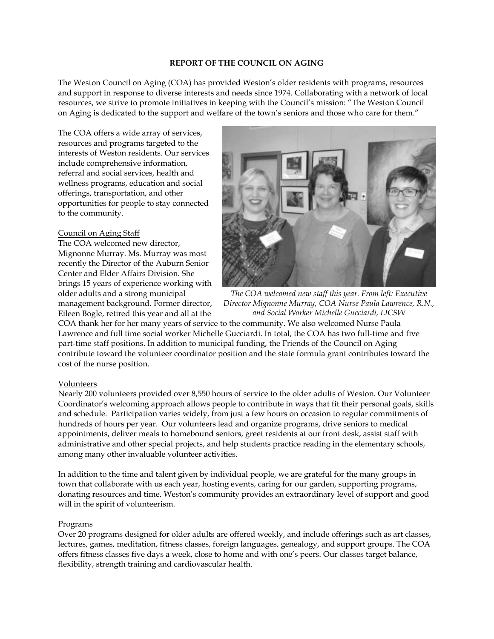#### **REPORT OF THE COUNCIL ON AGING**

The Weston Council on Aging (COA) has provided Weston's older residents with programs, resources and support in response to diverse interests and needs since 1974. Collaborating with a network of local resources, we strive to promote initiatives in keeping with the Council's mission: "The Weston Council on Aging is dedicated to the support and welfare of the town's seniors and those who care for them."

The COA offers a wide array of services, resources and programs targeted to the interests of Weston residents. Our services include comprehensive information, referral and social services, health and wellness programs, education and social offerings, transportation, and other opportunities for people to stay connected to the community.

### Council on Aging Staff

The COA welcomed new director, Mignonne Murray. Ms. Murray was most recently the Director of the Auburn Senior Center and Elder Affairs Division. She brings 15 years of experience working with older adults and a strong municipal management background. Former director, Eileen Bogle, retired this year and all at the



*The COA welcomed new staff this year. From left: Executive Director Mignonne Murray, COA Nurse Paula Lawrence, R.N., and Social Worker Michelle Gucciardi, LICSW*

COA thank her for her many years of service to the community. We also welcomed Nurse Paula Lawrence and full time social worker Michelle Gucciardi. In total, the COA has two full-time and five part-time staff positions. In addition to municipal funding, the Friends of the Council on Aging contribute toward the volunteer coordinator position and the state formula grant contributes toward the cost of the nurse position.

### Volunteers

Nearly 200 volunteers provided over 8,550 hours of service to the older adults of Weston. Our Volunteer Coordinator's welcoming approach allows people to contribute in ways that fit their personal goals, skills and schedule. Participation varies widely, from just a few hours on occasion to regular commitments of hundreds of hours per year. Our volunteers lead and organize programs, drive seniors to medical appointments, deliver meals to homebound seniors, greet residents at our front desk, assist staff with administrative and other special projects, and help students practice reading in the elementary schools, among many other invaluable volunteer activities.

In addition to the time and talent given by individual people, we are grateful for the many groups in town that collaborate with us each year, hosting events, caring for our garden, supporting programs, donating resources and time. Weston's community provides an extraordinary level of support and good will in the spirit of volunteerism.

### Programs

Over 20 programs designed for older adults are offered weekly, and include offerings such as art classes, lectures, games, meditation, fitness classes, foreign languages, genealogy, and support groups. The COA offers fitness classes five days a week, close to home and with one's peers. Our classes target balance, flexibility, strength training and cardiovascular health.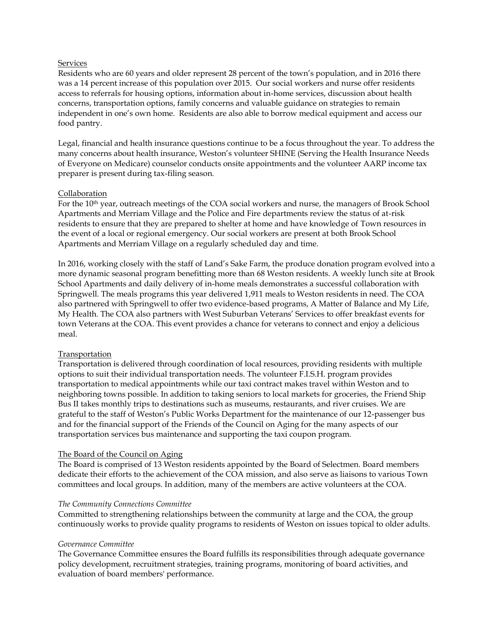### Services

Residents who are 60 years and older represent 28 percent of the town's population, and in 2016 there was a 14 percent increase of this population over 2015. Our social workers and nurse offer residents access to referrals for housing options, information about in-home services, discussion about health concerns, transportation options, family concerns and valuable guidance on strategies to remain independent in one's own home. Residents are also able to borrow medical equipment and access our food pantry.

Legal, financial and health insurance questions continue to be a focus throughout the year. To address the many concerns about health insurance, Weston's volunteer SHINE (Serving the Health Insurance Needs of Everyone on Medicare) counselor conducts onsite appointments and the volunteer AARP income tax preparer is present during tax-filing season.

### Collaboration

For the 10<sup>th</sup> year, outreach meetings of the COA social workers and nurse, the managers of Brook School Apartments and Merriam Village and the Police and Fire departments review the status of at-risk residents to ensure that they are prepared to shelter at home and have knowledge of Town resources in the event of a local or regional emergency. Our social workers are present at both Brook School Apartments and Merriam Village on a regularly scheduled day and time.

In 2016, working closely with the staff of Land's Sake Farm, the produce donation program evolved into a more dynamic seasonal program benefitting more than 68 Weston residents. A weekly lunch site at Brook School Apartments and daily delivery of in-home meals demonstrates a successful collaboration with Springwell. The meals programs this year delivered 1,911 meals to Weston residents in need. The COA also partnered with Springwell to offer two evidence-based programs, A Matter of Balance and My Life, My Health. The COA also partners with West Suburban Veterans' Services to offer breakfast events for town Veterans at the COA. This event provides a chance for veterans to connect and enjoy a delicious meal.

### Transportation

Transportation is delivered through coordination of local resources, providing residents with multiple options to suit their individual transportation needs. The volunteer F.I.S.H. program provides transportation to medical appointments while our taxi contract makes travel within Weston and to neighboring towns possible. In addition to taking seniors to local markets for groceries, the Friend Ship Bus II takes monthly trips to destinations such as museums, restaurants, and river cruises. We are grateful to the staff of Weston's Public Works Department for the maintenance of our 12-passenger bus and for the financial support of the Friends of the Council on Aging for the many aspects of our transportation services bus maintenance and supporting the taxi coupon program.

### The Board of the Council on Aging

The Board is comprised of 13 Weston residents appointed by the Board of Selectmen. Board members dedicate their efforts to the achievement of the COA mission, and also serve as liaisons to various Town committees and local groups. In addition, many of the members are active volunteers at the COA.

### *The Community Connections Committee*

Committed to strengthening relationships between the community at large and the COA, the group continuously works to provide quality programs to residents of Weston on issues topical to older adults.

### *Governance Committee*

The Governance Committee ensures the Board fulfills its responsibilities through adequate governance policy development, recruitment strategies, training programs, monitoring of board activities, and evaluation of board members' performance.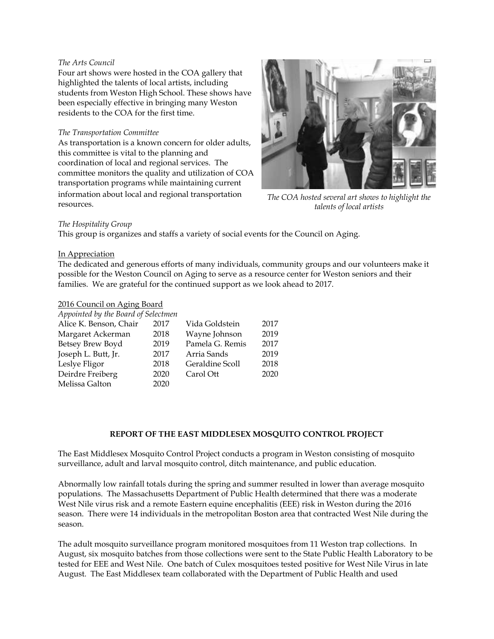#### *The Arts Council*

Four art shows were hosted in the COA gallery that highlighted the talents of local artists, including students from Weston High School. These shows have been especially effective in bringing many Weston residents to the COA for the first time.

#### *The Transportation Committee*

As transportation is a known concern for older adults, this committee is vital to the planning and coordination of local and regional services. The committee monitors the quality and utilization of COA transportation programs while maintaining current information about local and regional transportation resources.



*The COA hosted several art shows to highlight the talents of local artists*

#### *The Hospitality Group*

This group is organizes and staffs a variety of social events for the Council on Aging.

### In Appreciation

The dedicated and generous efforts of many individuals, community groups and our volunteers make it possible for the Weston Council on Aging to serve as a resource center for Weston seniors and their families. We are grateful for the continued support as we look ahead to 2017.

#### 2016 Council on Aging Board

| Appointed by the Board of Selectmen |      |                 |      |
|-------------------------------------|------|-----------------|------|
| Alice K. Benson, Chair              | 2017 | Vida Goldstein  | 2017 |
| Margaret Ackerman                   | 2018 | Wayne Johnson   | 2019 |
| Betsey Brew Boyd                    | 2019 | Pamela G. Remis | 2017 |
| Joseph L. Butt, Jr.                 | 2017 | Arria Sands     | 2019 |
| Leslye Fligor                       | 2018 | Geraldine Scoll | 2018 |
| Deirdre Freiberg                    | 2020 | Carol Ott       | 2020 |
| Melissa Galton                      | 2020 |                 |      |

### **REPORT OF THE EAST MIDDLESEX MOSQUITO CONTROL PROJECT**

The East Middlesex Mosquito Control Project conducts a program in Weston consisting of mosquito surveillance, adult and larval mosquito control, ditch maintenance, and public education.

Abnormally low rainfall totals during the spring and summer resulted in lower than average mosquito populations. The Massachusetts Department of Public Health determined that there was a moderate West Nile virus risk and a remote Eastern equine encephalitis (EEE) risk in Weston during the 2016 season. There were 14 individuals in the metropolitan Boston area that contracted West Nile during the season.

The adult mosquito surveillance program monitored mosquitoes from 11 Weston trap collections. In August, six mosquito batches from those collections were sent to the State Public Health Laboratory to be tested for EEE and West Nile. One batch of Culex mosquitoes tested positive for West Nile Virus in late August. The East Middlesex team collaborated with the Department of Public Health and used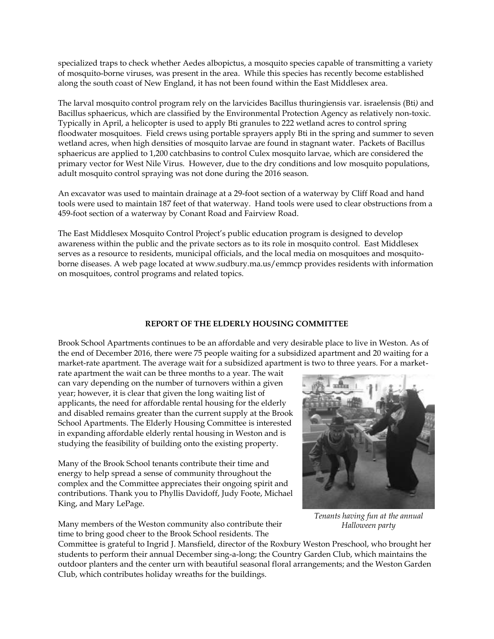specialized traps to check whether Aedes albopictus, a mosquito species capable of transmitting a variety of mosquito-borne viruses, was present in the area. While this species has recently become established along the south coast of New England, it has not been found within the East Middlesex area.

The larval mosquito control program rely on the larvicides Bacillus thuringiensis var. israelensis (Bti*)* and Bacillus sphaericus, which are classified by the Environmental Protection Agency as relatively non-toxic. Typically in April, a helicopter is used to apply Bti granules to 222 wetland acres to control spring floodwater mosquitoes. Field crews using portable sprayers apply Bti in the spring and summer to seven wetland acres, when high densities of mosquito larvae are found in stagnant water. Packets of Bacillus sphaericus are applied to 1,200 catchbasins to control Culex mosquito larvae, which are considered the primary vector for West Nile Virus. However, due to the dry conditions and low mosquito populations, adult mosquito control spraying was not done during the 2016 season.

An excavator was used to maintain drainage at a 29-foot section of a waterway by Cliff Road and hand tools were used to maintain 187 feet of that waterway. Hand tools were used to clear obstructions from a 459-foot section of a waterway by Conant Road and Fairview Road.

The East Middlesex Mosquito Control Project's public education program is designed to develop awareness within the public and the private sectors as to its role in mosquito control. East Middlesex serves as a resource to residents, municipal officials, and the local media on mosquitoes and mosquitoborne diseases. A web page located at www.sudbury.ma.us/emmcp provides residents with information on mosquitoes, control programs and related topics.

#### **REPORT OF THE ELDERLY HOUSING COMMITTEE**

Brook School Apartments continues to be an affordable and very desirable place to live in Weston. As of the end of December 2016, there were 75 people waiting for a subsidized apartment and 20 waiting for a market-rate apartment. The average wait for a subsidized apartment is two to three years. For a market-

rate apartment the wait can be three months to a year. The wait can vary depending on the number of turnovers within a given year; however, it is clear that given the long waiting list of applicants, the need for affordable rental housing for the elderly and disabled remains greater than the current supply at the Brook School Apartments. The Elderly Housing Committee is interested in expanding affordable elderly rental housing in Weston and is studying the feasibility of building onto the existing property.

Many of the Brook School tenants contribute their time and energy to help spread a sense of community throughout the complex and the Committee appreciates their ongoing spirit and contributions. Thank you to Phyllis Davidoff, Judy Foote, Michael King, and Mary LePage.

Many members of the Weston community also contribute their time to bring good cheer to the Brook School residents. The

*Tenants having fun at the annual* 

*Halloween party*

Committee is grateful to Ingrid J. Mansfield, director of the Roxbury Weston Preschool, who brought her students to perform their annual December sing-a-long; the Country Garden Club, which maintains the outdoor planters and the center urn with beautiful seasonal floral arrangements; and the Weston Garden Club, which contributes holiday wreaths for the buildings.

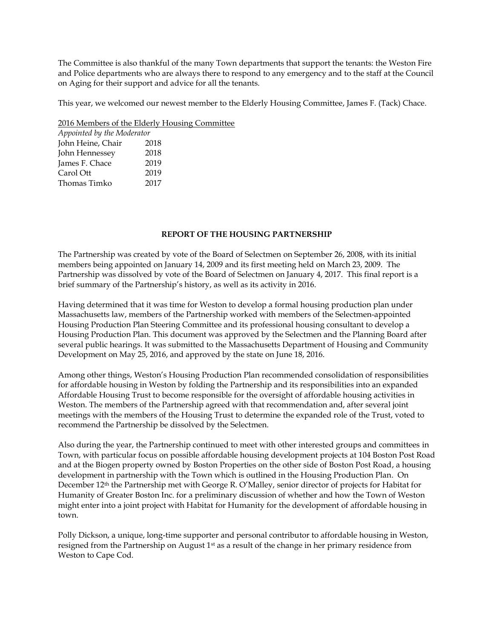The Committee is also thankful of the many Town departments that support the tenants: the Weston Fire and Police departments who are always there to respond to any emergency and to the staff at the Council on Aging for their support and advice for all the tenants.

This year, we welcomed our newest member to the Elderly Housing Committee, James F. (Tack) Chace.

2016 Members of the Elderly Housing Committee

| Appointed by the Moderator |      |  |  |
|----------------------------|------|--|--|
| John Heine, Chair          | 2018 |  |  |
| John Hennessey             | 2018 |  |  |
| James F. Chace             | 2019 |  |  |
| Carol Ott                  | 2019 |  |  |
| Thomas Timko               | 2017 |  |  |

# **REPORT OF THE HOUSING PARTNERSHIP**

The Partnership was created by vote of the Board of Selectmen on September 26, 2008, with its initial members being appointed on January 14, 2009 and its first meeting held on March 23, 2009. The Partnership was dissolved by vote of the Board of Selectmen on January 4, 2017. This final report is a brief summary of the Partnership's history, as well as its activity in 2016.

Having determined that it was time for Weston to develop a formal housing production plan under Massachusetts law, members of the Partnership worked with members of the Selectmen-appointed Housing Production Plan Steering Committee and its professional housing consultant to develop a Housing Production Plan. This document was approved by the Selectmen and the Planning Board after several public hearings. It was submitted to the Massachusetts Department of Housing and Community Development on May 25, 2016, and approved by the state on June 18, 2016.

Among other things, Weston's Housing Production Plan recommended consolidation of responsibilities for affordable housing in Weston by folding the Partnership and its responsibilities into an expanded Affordable Housing Trust to become responsible for the oversight of affordable housing activities in Weston. The members of the Partnership agreed with that recommendation and, after several joint meetings with the members of the Housing Trust to determine the expanded role of the Trust, voted to recommend the Partnership be dissolved by the Selectmen.

Also during the year, the Partnership continued to meet with other interested groups and committees in Town, with particular focus on possible affordable housing development projects at 104 Boston Post Road and at the Biogen property owned by Boston Properties on the other side of Boston Post Road, a housing development in partnership with the Town which is outlined in the Housing Production Plan. On December 12th the Partnership met with George R. O'Malley, senior director of projects for Habitat for Humanity of Greater Boston Inc. for a preliminary discussion of whether and how the Town of Weston might enter into a joint project with Habitat for Humanity for the development of affordable housing in town.

Polly Dickson, a unique, long-time supporter and personal contributor to affordable housing in Weston, resigned from the Partnership on August  $1<sup>st</sup>$  as a result of the change in her primary residence from Weston to Cape Cod.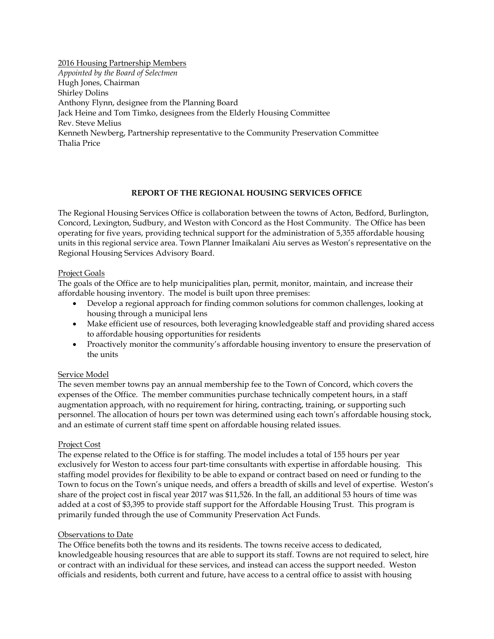2016 Housing Partnership Members *Appointed by the Board of Selectmen* Hugh Jones, Chairman Shirley Dolins Anthony Flynn, designee from the Planning Board Jack Heine and Tom Timko, designees from the Elderly Housing Committee Rev. Steve Melius Kenneth Newberg, Partnership representative to the Community Preservation Committee Thalia Price

# **REPORT OF THE REGIONAL HOUSING SERVICES OFFICE**

The Regional Housing Services Office is collaboration between the towns of Acton, Bedford, Burlington, Concord, Lexington, Sudbury, and Weston with Concord as the Host Community. The Office has been operating for five years, providing technical support for the administration of 5,355 affordable housing units in this regional service area. Town Planner Imaikalani Aiu serves as Weston's representative on the Regional Housing Services Advisory Board.

# Project Goals

The goals of the Office are to help municipalities plan, permit, monitor, maintain, and increase their affordable housing inventory. The model is built upon three premises:

- Develop a regional approach for finding common solutions for common challenges, looking at housing through a municipal lens
- Make efficient use of resources, both leveraging knowledgeable staff and providing shared access to affordable housing opportunities for residents
- Proactively monitor the community's affordable housing inventory to ensure the preservation of the units

# Service Model

The seven member towns pay an annual membership fee to the Town of Concord, which covers the expenses of the Office. The member communities purchase technically competent hours, in a staff augmentation approach, with no requirement for hiring, contracting, training, or supporting such personnel. The allocation of hours per town was determined using each town's affordable housing stock, and an estimate of current staff time spent on affordable housing related issues.

### Project Cost

The expense related to the Office is for staffing. The model includes a total of 155 hours per year exclusively for Weston to access four part‐time consultants with expertise in affordable housing. This staffing model provides for flexibility to be able to expand or contract based on need or funding to the Town to focus on the Town's unique needs, and offers a breadth of skills and level of expertise. Weston's share of the project cost in fiscal year 2017 was \$11,526. In the fall, an additional 53 hours of time was added at a cost of \$3,395 to provide staff support for the Affordable Housing Trust. This program is primarily funded through the use of Community Preservation Act Funds.

### Observations to Date

The Office benefits both the towns and its residents. The towns receive access to dedicated, knowledgeable housing resources that are able to support its staff. Towns are not required to select, hire or contract with an individual for these services, and instead can access the support needed. Weston officials and residents, both current and future, have access to a central office to assist with housing